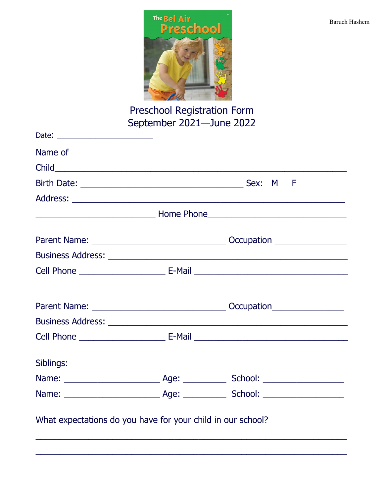

Preschool Registration Form<br>September 2021—June 2022

| Name of                                                     |  |
|-------------------------------------------------------------|--|
|                                                             |  |
|                                                             |  |
|                                                             |  |
|                                                             |  |
|                                                             |  |
|                                                             |  |
|                                                             |  |
|                                                             |  |
|                                                             |  |
|                                                             |  |
|                                                             |  |
| Siblings:                                                   |  |
|                                                             |  |
|                                                             |  |
|                                                             |  |
|                                                             |  |
| What expectations do you have for your child in our school? |  |
|                                                             |  |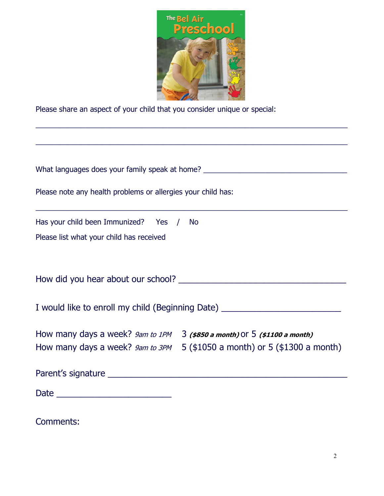

\_\_\_\_\_\_\_\_\_\_\_\_\_\_\_\_\_\_\_\_\_\_\_\_\_\_\_\_\_\_\_\_\_\_\_\_\_\_\_\_\_\_\_\_\_\_\_\_\_\_\_\_\_\_\_\_\_\_\_\_\_\_\_\_\_\_\_\_\_\_\_\_\_\_\_\_

Please share an aspect of your child that you consider unique or special:

| What languages does your family speak at home? _________________________________            |  |  |  |
|---------------------------------------------------------------------------------------------|--|--|--|
| Please note any health problems or allergies your child has:                                |  |  |  |
| Has your child been Immunized? Yes / No                                                     |  |  |  |
| Please list what your child has received                                                    |  |  |  |
|                                                                                             |  |  |  |
|                                                                                             |  |  |  |
| I would like to enroll my child (Beginning Date) _______________________________            |  |  |  |
| How many days a week? $g_{am}$ to 1PM $\rightarrow$ 3 (\$850 a month) or 5 (\$1100 a month) |  |  |  |
| How many days a week? $g_{am}$ to $3PM$ 5 (\$1050 a month) or 5 (\$1300 a month)            |  |  |  |
|                                                                                             |  |  |  |
|                                                                                             |  |  |  |
|                                                                                             |  |  |  |

Comments: